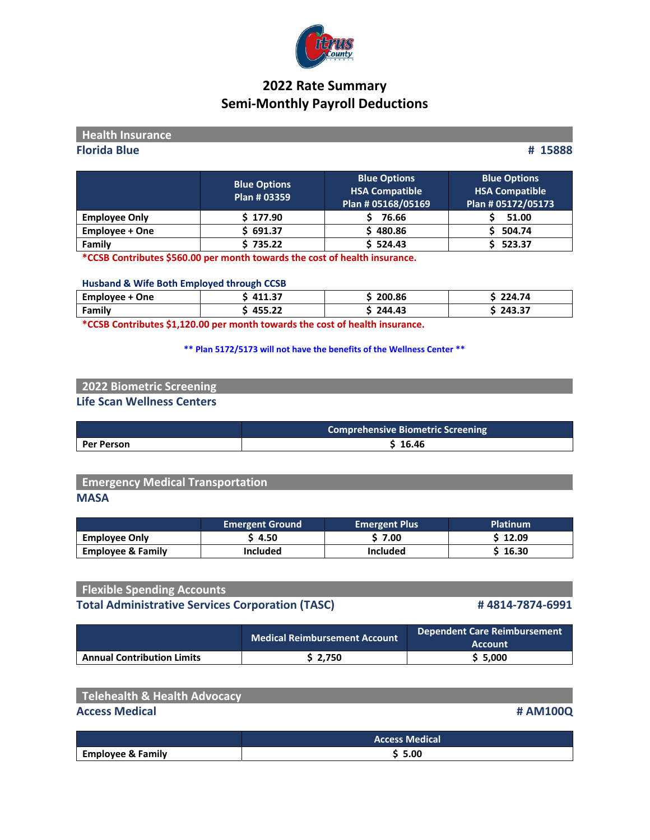

# **2022 Rate Summary Semi‐Monthly Payroll Deductions**

| <b>Health Insurance</b> |                                     |                                                                    |                                                                    |
|-------------------------|-------------------------------------|--------------------------------------------------------------------|--------------------------------------------------------------------|
| <b>Florida Blue</b>     |                                     |                                                                    | # 15888                                                            |
|                         | <b>Blue Options</b><br>Plan # 03359 | <b>Blue Options</b><br><b>HSA Compatible</b><br>Plan # 05168/05169 | <b>Blue Options</b><br><b>HSA Compatible</b><br>Plan # 05172/05173 |
| <b>Employee Only</b>    | \$177.90                            | 76.66                                                              | 51.00                                                              |

**Employee + One \$ 691.37 \$ 480.86 \$ 504.74**

**Family \$ 735.22 \$ 524.43 \$ 523.37 \*CCSB Contributes \$560.00 per month towards the cost of health insurance.**

### **Husband & Wife Both Employed through CCSB**

| Employee<br>One | $\sim$<br>AA <sub>z</sub><br>. | 200.86           | −24.74               |
|-----------------|--------------------------------|------------------|----------------------|
| Family          | .<br>$\sim$<br>7JJ. <i>ll</i>  | 43<br><b>244</b> | --<br>フハマ<br>− • • • |

**\*CCSB Contributes \$1,120.00 per month towards the cost of health insurance.**

**\*\* Plan 5172/5173 will not have the benefits of the Wellness Center \*\***

## **2022 Biometric Screening Life Scan Wellness Centers**

|                   | <b>Comprehensive Biometric Screening</b> |  |
|-------------------|------------------------------------------|--|
| <b>Per Person</b> | \$16.46                                  |  |

## **Emergency Medical Transportation MASA**

|                              | <b>Emergent Ground</b> | Emergent Plus | <b>Platinum</b> |
|------------------------------|------------------------|---------------|-----------------|
| <b>Employee Only</b>         | ነ 4.50                 | 7.00          | \$ 12.09        |
| <b>Employee &amp; Family</b> | <b>Included</b>        | Included      | \$ 16.30        |

| <b>Flexible Spending Accounts</b>                       |                 |
|---------------------------------------------------------|-----------------|
| <b>Total Administrative Services Corporation (TASC)</b> | #4814-7874-6991 |

|                                   | <b>Medical Reimbursement Account</b> | <b>Dependent Care Reimbursement</b><br>Account. |
|-----------------------------------|--------------------------------------|-------------------------------------------------|
| <b>Annual Contribution Limits</b> | \$2.750                              | \$5.000                                         |

| Telehealth & Health Advocacy |          |
|------------------------------|----------|
| <b>Access Medical</b>        | # AM100Q |
|                              |          |

|                              | <b>Access Medical</b> |  |
|------------------------------|-----------------------|--|
| <b>Employee &amp; Family</b> | 5.00                  |  |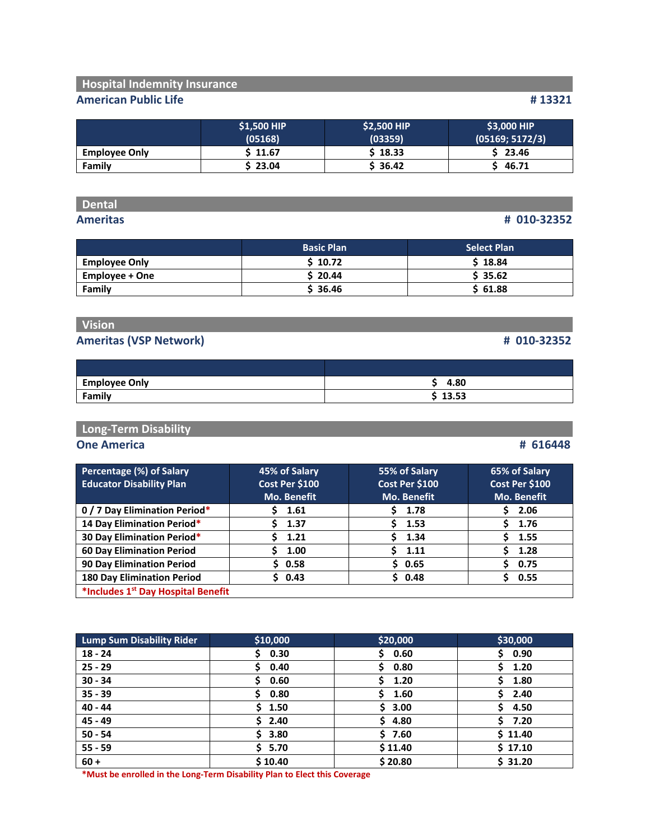## **Hospital Indemnity Insurance**

## **American Public Life # 13321**

|                      | \$1,500 HIP<br>(05168) | \$2,500 HIP<br>(03359) | \$3,000 HIP<br>(05169; 5172/3) |
|----------------------|------------------------|------------------------|--------------------------------|
| <b>Employee Only</b> | \$ 11.67               | \$18.33                | 23.46                          |
| Family               | \$23.04                | \$36.42                | 46.71                          |

## **Dental**

### **Ameritas # 010‐32352**

|                      | <b>Basic Plan</b> | <b>Select Plan</b> |
|----------------------|-------------------|--------------------|
| <b>Employee Only</b> | \$10.72           | \$18.84            |
| Employee + One       | \$20.44           | \$35.62            |
| Family               | \$36.46           | \$61.88            |

# **Vision**

## **Ameritas (VSP Network) # 010‐32352**

| <b>Employee Only</b> | 4.80  |
|----------------------|-------|
| Family               | 13.53 |

## **Long‐Term Disability**

### **One America # 616448**

| Percentage (%) of Salary                       | 45% of Salary      | 55% of Salary      | 65% of Salary      |
|------------------------------------------------|--------------------|--------------------|--------------------|
| <b>Educator Disability Plan</b>                | Cost Per \$100     | Cost Per \$100     | Cost Per \$100     |
|                                                | <b>Mo. Benefit</b> | <b>Mo. Benefit</b> | <b>Mo. Benefit</b> |
| 0 / 7 Day Elimination Period*                  | 1.61               | 1.78               | 2.06               |
| 14 Day Elimination Period*                     | 1.37               | 1.53               | 1.76               |
| 30 Day Elimination Period*                     | 1.21               | 1.34<br>\$.        | 1.55               |
| <b>60 Day Elimination Period</b>               | 1.00               | 1.11<br>Š.         | 1.28               |
| <b>90 Day Elimination Period</b>               | \$0.58             | \$0.65             | 0.75               |
| <b>180 Day Elimination Period</b>              | \$0.43             | \$0.48             | 0.55               |
| *Includes 1 <sup>st</sup> Day Hospital Benefit |                    |                    |                    |

| <b>Lump Sum Disability Rider</b> | \$10,000  | \$20,000   | \$30,000    |
|----------------------------------|-----------|------------|-------------|
| $18 - 24$                        | 0.30<br>Ś | 0.60<br>S. | \$0.90      |
| $25 - 29$                        | 0.40      | 0.80       | 1.20<br>S.  |
| $30 - 34$                        | 0.60      | 1.20<br>S. | S.<br>1.80  |
| $35 - 39$                        | 0.80      | 1.60       | 2.40        |
| $40 - 44$                        | \$1.50    | \$3.00     | 4.50        |
| $45 - 49$                        | \$2.40    | \$4.80     | \$.<br>7.20 |
| $50 - 54$                        | \$3.80    | \$7.60     | \$11.40     |
| $55 - 59$                        | \$5.70    | \$11.40    | \$17.10     |
| $60 +$                           | \$10.40   | \$20.80    | \$31.20     |

**\*Must be enrolled in the Long‐Term Disability Plan to Elect this Coverage**

|  | H UIU-32352 |  |
|--|-------------|--|
|  |             |  |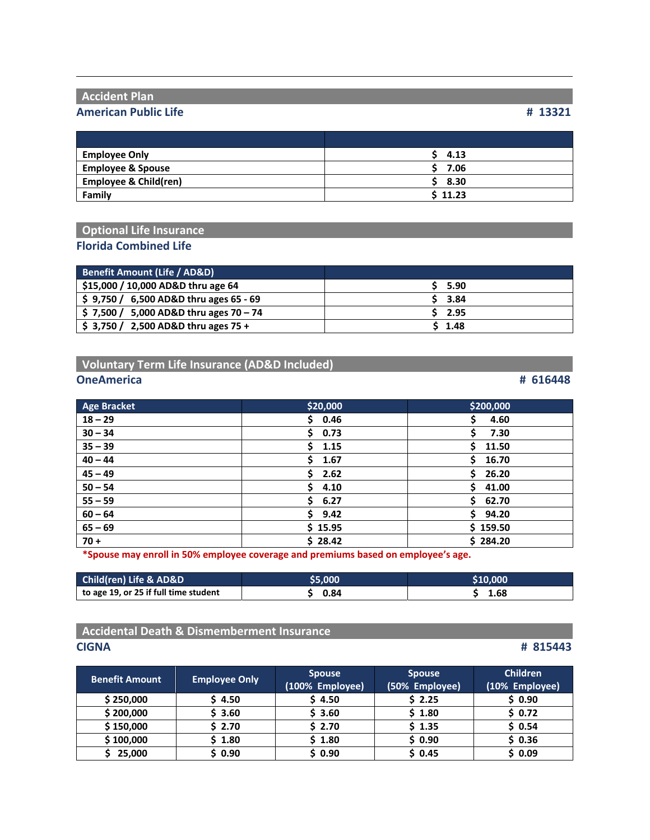## **Accident Plan**

## **American Public Life # 13321**

| <b>Employee Only</b>             | 4.13    |
|----------------------------------|---------|
| <b>Employee &amp; Spouse</b>     | 7.06    |
| <b>Employee &amp; Child(ren)</b> | \$3.30  |
| Family                           | \$11.23 |

## **Optional Life Insurance Florida Combined Life**

| Benefit Amount (Life / AD&D)            |               |
|-----------------------------------------|---------------|
| \$15,000 / 10,000 AD&D thru age 64      | 5.90          |
| $$9,750 / 6,500$ AD&D thru ages 65 - 69 | $5\quad 3.84$ |
| $$7,500/5,000$ AD&D thru ages $70-74$   | $5$ 2.95      |
| $$3,750/2,500$ AD&D thru ages 75 +      | \$1.48        |

## **Voluntary Term Life Insurance (AD&D Included)**

### **OneAmerica # 616448**

| <b>Age Bracket</b> | \$20,000    | \$200,000   |
|--------------------|-------------|-------------|
| $18 - 29$          | \$0.46      | Ś.<br>4.60  |
| $30 - 34$          | \$.<br>0.73 | Ś.<br>7.30  |
| $35 - 39$          | 1.15<br>S.  | 11.50<br>S. |
| $40 - 44$          | S.<br>1.67  | Ŝ.<br>16.70 |
| $45 - 49$          | \$.<br>2.62 | Ś.<br>26.20 |
| $50 - 54$          | 4.10<br>S.  | \$41.00     |
| $55 - 59$          | \$6.27      | \$62.70     |
| $60 - 64$          | Ś.<br>9.42  | \$94.20     |
| $65 - 69$          | \$15.95     | \$159.50    |
| $70 +$             | \$28.42     | \$284.20    |

**\*Spouse may enroll in 50% employee coverage and premiums based on employee's age.**

| Child(ren) Life & AD&D                | \$5,000 | '\$10.000 |
|---------------------------------------|---------|-----------|
| to age 19, or 25 if full time student | 0.84    | 1.68      |

## **Accidental Death & Dismemberment Insurance CIGNA # 815443**

| <b>Benefit Amount</b> | <b>Employee Only</b> | <b>Spouse</b><br>(100% Employee) | <b>Spouse</b><br>(50% Employee) | <b>Children</b><br>(10% Employee) |
|-----------------------|----------------------|----------------------------------|---------------------------------|-----------------------------------|
| \$250,000             | \$4.50               | \$4.50                           | \$2.25                          | \$0.90                            |
| \$200,000             | \$3.60               | \$3.60                           | \$1.80                          | \$0.72                            |
| \$150,000             | \$2.70               | \$2.70                           | \$1.35                          | \$0.54                            |
| \$100,000             | 1.80                 | \$1.80                           | \$0.90                          | \$0.36                            |
| 25,000                | ነ 0.90               | \$0.90                           | \$0.45                          | \$0.09                            |